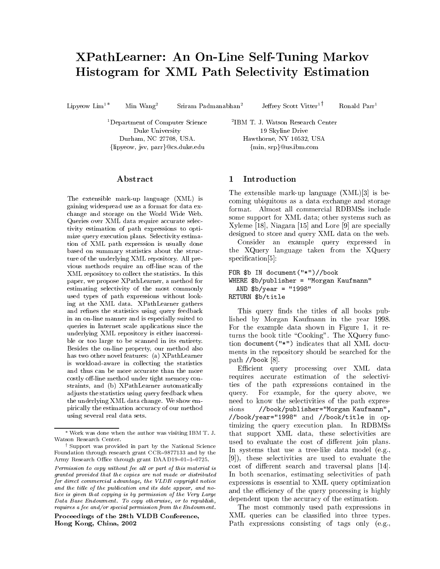# XPathLearner: An On-Line Self-Tuning Markov Histogram for XML Path Selectivity Estimation

Lipyeow Lim<sup>1\*</sup> Min Wang<sup>2</sup> Sriram Padmanabhan<sup>2</sup> Jeffrey Scott Vitter<sup>1†</sup> Ronald Parr<sup>1</sup>

1Department of Computer Science Duke University Durham, NC 27708, USA. flipyeow, jsv, parrg@cs.duke.edu

2 IBM T. J. Watson Research Center 19 Skyline Drive Hawthorne, NY 10532, USA  $\{\min, srp\}$ @us.ibm.com

# Abstract

The extensible mark-up language (XML) is gaining widespread use as a format for data ex change and storage on the World Wide Web. Queries over XML data require accurate selectivity estimation of path expressions to optimize query execution plans. Selectivity estimation of XML path expression is usually done based on summary statistics about the structure of the underlying XML repository. All previous methods require an off-line scan of the XML repository to collect the statistics. In this paper, we propose XPathLearner, a method for estimating selectivity of the most commonly used types of path expressions without looking at the XML data.XPathLearner gathers and refines the statistics using query feedback in an on-line manner and is especially suited to queries in Internet scale applications since the underlying XML repository is either inaccessible or too large to be scanned in its entirety. Besides the on-line property, our method also has two other novel features: (a) XPathLearner is workload-aware in collecting the statistics and thus can be more accurate than the more costly off-line method under tight memory constraints, and (b) XPathLearner automatically adjusts the statistics using query feedback when the underlying XML data change. We show em pirically the estimation accuracy of our method using several real data sets.

Proceedings of the 28th VLDB Conference, Hong Kong, China, 2002

#### Introduction  $\mathbf 1$

The extensible mark-up language (XML)[3] is becoming ubiquitous as a data exchange and storage format. Almost all commercial RDBMSs include some support for XML data; other systems such as Xyleme [18], Niagara [15] and Lore [9] are specially designed to store and query XML data on the web.

Consider an example query expressed in the XQuery language taken from the XQuery specification<sup>[5]</sup>:

```
FOR $b IN document("*")//book
WHERE $b/publisher = "Morgan Kaufmann"
  AND $b/year = "1998"
RETURN $b/title
```
This query finds the titles of all books published by Morgan Kaufmann in the year 1998. For the example data shown in Figure 1, it returns the book title "Cooking". The XQuery function document("\*") indicates that all XML documents in the repository should be searched for the path  $//$ book [8].

Efficient query processing over XML data requires accurate estimation of the selectivities of the path expressions contained in the For example, for the query above, we query. need to know the selectivities of the path expres-//book/publisher="Morgan Kaufmann", //book/year="1998" and //book/title in optimizing the query execution plan. In RDBMSs that support XML data, these selectivities are used to evaluate the cost of different join plans. In systems that use a tree-like data model (e.g., [9]), these selectivities are used to evaluate the cost of different search and traversal plans [14]. In both scenarios, estimating selectivities of path expressions is essential to XML query optimization and the efficiency of the query processing is highly dependent upon the accuracy of the estimation.

The most commonly used path expressions in XML queries can be classied into three types. Path expressions consisting of tags only (e.g.,

Work was done when the author was visiting IBM T. J. Watson Research Center.

 $\alpha$  support was provided in part by the National Science  $\alpha$ Foundation through research grant CCR-9877133 and by the Army Research Office through grant DAAD19-01-1-0725.

Permission to copy without fee all or part of this material is granted provided that the copies are not made or distributed for direct commercial advantage, the VLDB copyright notice and the title of the publication and its date appear, and notice is given that copying is by permission of the Very Large Data Base Endowment. To copy otherwise, or to republish, requires a fee and/or special permission from the Endowment.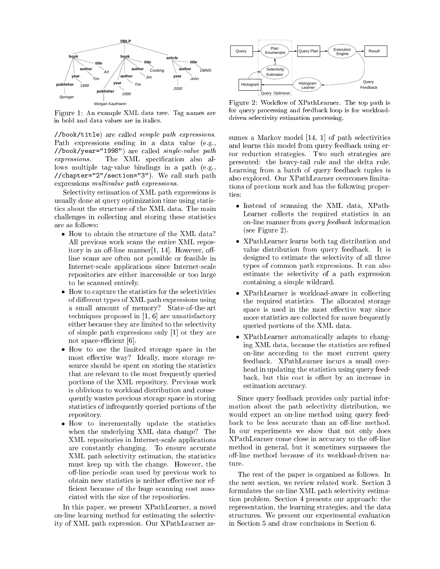

Figure 1: An example XML data tree. Tag names are in bold and data values are in italics.

//book/title) are called simple path expressions. Path expressions ending in a data value (e.g., //book/year="1998") are called single-value path expressions. The XML specification also allows multiple tag-value bindings in a path (e.g., //chapter="2"/section="3"). We call such path expressions multivalue path expressions.

Selectivity estimation of XML path expressions is usually done at query optimization time using statistics about the structure of the XML data. The main challenges in collecting and storing these statistics are as follows:

- $\bullet$  How to obtain the structure of the XML data: All previous work scans the entire XML repository in an off-line manner  $[1, 14]$ . However, offline scans are often not possible or feasible in Internet-scale applications since Internet-scale repositories are either inaccessible or too large to be scanned entirely.
- $\bullet$  How to capture the statistics for the selectivities  $\hspace{1cm}$ of different types of XML path expressions using a small amount of memory? State-of-the-art techniques proposed in [1, 6] are unsatisfactory either because they are limited to the selectivity of simple path expressions only [1] or they are not space-efficient  $[6]$ .
- $\bullet$  How to use the limited storage space in the most effective way? Ideally, more storage resource should be spent on storing the statistics that are relevant to the most frequently queried portions of the XML repository. Previous work is oblivious to workload distribution and consequently wastes precious storage space in storing statistics of infrequently queried portions of the repository.
- $\bullet$  How to incrementally update the statistics  $\phantom{1}$  ba when the underlying XML data change? The XML repositories in Internet-scale applications are constantly changing. To ensure accurate XML path selectivity estimation, the statistics must keep up with the change. However, the off-line periodic scan used by previous work to obtain new statistics is neither effective nor efficient because of the huge scanning cost associated with the size of the repositories.

In this paper, we present XPathLearner, a novel on-line learning method for estimating the selectivity of XML path expression. Our XPathLearner as-



Figure 2: Workflow of XPathLearner. The top path is for query processing and feedback loop is for workloaddriven selectivity estimation processing.

sumes a Markov model [14, 1] of path selectivities and learns this model from query feedback using error reduction strategies. Two such strategies are presented: the heavy-tail rule and the delta rule. Learning from a batch of query feedback tuples is also explored. Our XPathLearner overcomes limitations of previous work and has the following properties:

- Instead of scanning the XML data, XPath-Learner collects the required statistics in an on-line manner from query feedback information (see Figure 2).
- XPathLearner learns both tag distribution and value distribution from query feedback. It is designed to estimate the selectivity of all three types of common path expressions. It can also estimate the selectivity of a path expression containing a simple wildcard.
- $\bullet$   $\Lambda$ PathLearner is workload-aware in collecting the required statistics. The allocated storage space is used in the most effective way since more statistics are collected for more frequently queried portions of the XML data.
- $\bullet$  APathLearner automatically adapts to changing XML data, because the statistics are refined on-line according to the most current query feedback. XPathLearner incurs a small overhead in updating the statistics using query feedback, but this cost is offset by an increase in estimation accuracy.

Since query feedback provides only partial information about the path selectivity distribution, we would expect an on-line method using query feedback to be less accurate than an off-line method. In our experiments we show that not only does XPathLearner come close in accuracy to the off-line method in general, but it sometimes surpasses the off-line method because of its workload-driven nature.

The rest of the paper is organized as follows. In the next section, we review related work. Section 3 formulates the on-line XML path selectivity estimation problem. Section 4 presents our approach: the representation, the learning strategies, and the data structures. We present our experimental evaluation in Section 5 and draw conclusions in Section 6.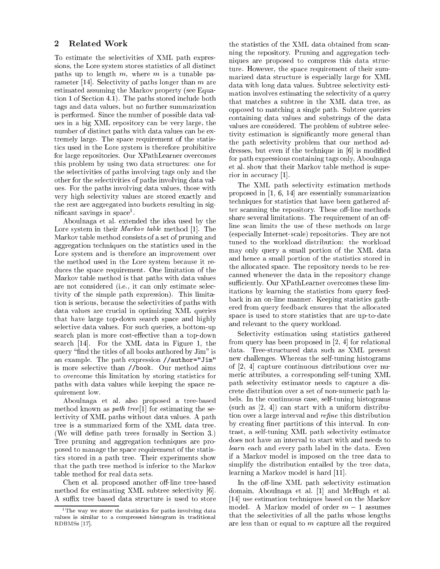# 2 Related Work

To estimate the selectivities of XML path expressions, the Lore system stores statistics of all distinct paths up to length m, where m is a tunable parameter  $[14]$ . Selectivity of paths longer than m are estimated assuming the Markov property (see Equation 1 of Section 4.1). The paths stored include both tags and data values, but no further summarization is performed. Since the number of possible data values in a big XML repository can be very large, the number of distinct paths with data values can be extremely large. The space requirement of the statistics used in the Lore system is therefore prohibitive for  $f$  is the contract of  $f$  and  $f$  and  $f$  are  $f$  and  $f$  and  $f$  and  $f$  and  $f$  and  $f$  and  $f$  and  $f$  and  $f$  and  $f$  and  $f$  and  $f$  and  $f$  and  $f$  and  $f$  and  $f$  and  $f$  and  $f$  and  $f$  and  $f$  and  $f$  and  $f$ this problem by using two data structures: one for the selectivities of paths involving tags only and the other for the selectivities of paths involving data values. For the paths involving data values, those with very high selectivity values are stored exactly and the rest are aggregated into buckets resulting in signicant savings in space1 .

Aboulnaga et al. extended the idea used by the Lore system in their *Markov table* method [1]. The Markov table method consists of a set of pruning and aggregation techniques on the statistics used in the Lore system and is therefore an improvement over the method used in the Lore system because it reduces the space requirement. One limitation of the Markov table method is that paths with data values are not considered (i.e., it can only estimate selectivity of the simple path expression). This limitation is serious, because the selectivities of paths with data values are crucial in optimizing XML queries that have large top-down search space and highly selective data values. For such queries, a bottom-up search plan is more cost-effective than a top-down search [14]. For the XML data in Figure 1, the query "find the titles of all books authored by Jim" is an example. The path expression //author="Jim" is more selective than //book. Our method aims to overcome this limitation by storing statistics for paths with data values while keeping the space requirement low.

Aboulnaga et al. also proposed a tree-based method known as *path tree*[1] for estimating the selectivity of XML paths without data values. A path tree is a summarized form of the XML data tree. (We will define path trees formally in Section 3.) Tree pruning and aggregation techniques are proposed to manage the space requirement of the statistics stored in a path tree. Their experiments show that the path tree method is inferior to the Markov table method for real data sets.

Chen et al. proposed another off-line tree-based method for estimating XML subtree selectivity [6]. A suffix tree based data structure is used to store

the statistics of the XML data obtained from scanning the repository. Pruning and aggregation techniques are proposed to compress this data structure. However, the space requirement of their summarized data structure is especially large for XML data with long data values. Subtree selectivity estimation involves estimating the selectivity of a query that matches a subtree in the XML data tree, as opposed to matching a single path. Subtree queries containing data values and substrings of the data values are considered. The problem of subtree selectivity estimation is significantly more general than the path selectivity problem that our method addresses, but even if the technique in [6] is modied for path expressions containing tags only, Aboulnaga et al. show that their Markov table method is superior in accuracy [1].

The XML path selectivity estimation methods proposed in [1, 6, 14] are essentially summarization techniques for statistics that have been gathered after scanning the repository. These off-line methods share several limitations. The requirement of an offline scan limits the use of these methods on large (especially Internet-scale) repositories. They are not tuned to the workload distribution: the workload may only query a small portion of the XML data and hence a small portion of the statistics stored in the allocated space. The repository needs to be rescanned whenever the data in the repository change sufficiently. Our XPathLearner overcomes these limitations by learning the statistics from query feedback in an on-line manner. Keeping statistics gathered from query feedback ensures that the allocated space is used to store statistics that are up-to-date and relevant to the query workload.

Selectivity estimation using statistics gathered from query has been proposed in [2, 4] for relational data. Tree-structured data such as XML present new challenges. Whereas the self-tuning histograms of [2, 4] capture continuous distributions over numeric attributes, a corresponding self-tuning XML path selectivity estimator needs to capture a discrete distribution over a set of non-numeric path labels. In the continuous case, self-tuning histograms (such as [2, 4]) can start with a uniform distribution over a large interval and *refine* this distribution by creating finer partitions of this interval. In contrast, a self-tuning XML path selectivity estimator does not have an interval to start with and needs to learn each and every path label in the data. Even if a Markov model is imposed on the tree data to simplify the distribution entailed by the tree data, learning a Markov model is hard [11].

In the off-line XML path selectivity estimation domain, Aboulnaga et al. [1] and McHugh et al. [14] use estimation techniques based on the Markov model. A Markov model of order  $m-1$  assumes that the selectivities of all the paths whose lengths are less than or equal to  $m$  capture all the required

<sup>&</sup>lt;sup>1</sup>The way we store the statistics for paths involving data values is similar to a compressed histogram in traditional RDBMSs [17].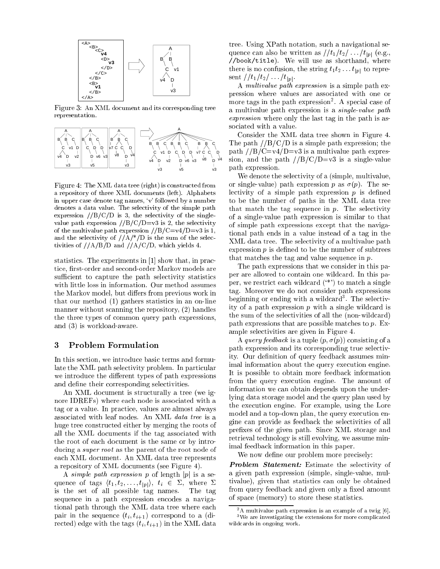

Figure 3: An XML document and its corresponding tree representation.



Figure 4: The XML data tree (right) is constructed from a repository of three XML documents (left). Alphabets in upper case denote tag names, 'v' followed by a number denotes a data value. The selectivity of the simple path expression  $//B/C/D$  is 3, the selectivity of the singlevalue path expression  $//B/C/D=v3$  is 2, the selectivity of the multivalue path expression  $//B/C=v4/D=v3$  is 1, and the selectivity of  $//A/*/D$  is the sum of the selectivities of  $//A/B/D$  and  $//A/C/D$ , which yields 4.

statistics. The experiments in [1] show that, in practice, first-order and second-order Markov models are sufficient to capture the path selectivity statistics with little loss in information. Our method assumes the Markov model, but differs from previous work in that our method (1) gathers statistics in an on-line manner without scanning the repository, (2) handles the three types of common query path expressions, and (3) is workload-aware.

# 3 Problem Formulation

In this section, we introduce basic terms and formulate the XML path selectivity problem. In particular we introduce the different types of path expressions and define their corresponding selectivities.

An XML document is structurally a tree (we ignore IDREFs) where each node is associated with a tag or a value. In practice, values are almost always associated with leaf nodes. An XML data tree is a huge tree constructed either by merging the roots of all the XML documents if the tag associated with the root of each document is the same or by introducing a super root as the parent of the root node of each XML document. An XML data tree represents a repository of XML documents (see Figure 4).

A simple path expression p of length  $|p|$  is a sequence of tags  $\langle t_1, t_2, \ldots, t_{|p|} \rangle$ ,  $t_i \in \Sigma$ , where  $\Sigma$ is the set of all possible tag names. The tag sequence in a path expression encodes a navigational path through the XML data tree where each pair in the sequence  $(t_i, t_{i+1})$  correspond to a (directed) edge with the tags  $(t_i, t_{i+1})$  in the XML data

tree. Using XPath notation, such a navigational sequence can also be written as  $//t_1/t_2/$ ... $/t_{|p|}$  (e.g., //book/title). We will use as shorthand, where there is no confusion, the string  $t_1t_2 \ldots t_{|p|}$  to represent  $//t_1/t_2/... /t_{|p|}$ .

A multivalue path expression is a simple path expression where values are associated with one or more tags in the path expression<sup>2</sup> . A special case of a multivalue path expression is a single-value path expression where only the last tag in the path is associated with a value.

Consider the XML data tree shown in Figure 4. The path  $//B/C/D$  is a simple path expression; the path  $//B/C=v4/D=v3$  is a multivalue path expression, and the path  $//B/C/D=v3$  is a single-value path expression.

We denote the selectivity of a (simple, multivalue, or single-value) path expression p as  $\sigma(p)$ . The selectivity of a simple path expression  $p$  is defined to be the number of paths in the XML data tree that match the tag sequence in  $p$ . The selectivity of a single-value path expression is similar to that of simple path expressions except that the navigational path ends in a value instead of a tag in the XML data tree. The selectivity of a multivalue path expression  $p$  is defined to be the number of subtrees that matches the tag and value sequence in p.

The path expressions that we consider in this paper are allowed to contain one wildcard. In this paper, we restrict each wildcard  $(')$  to match a single tag. Moreover we do not consider path expressions beginning or ending with a wildcard. I he selectivity of a path expression  $p$  with a single wildcard is the sum of the selectivities of all the (non-wildcard) path expressions that are possible matches to p. Example selectivities are given in Figure 4.

A query feedback is a tuple  $(p, \sigma(p))$  consisting of a path expression and its corresponding true selectivity. Our definition of query feedback assumes minimal information about the query execution engine. It is possible to obtain more feedback information from the query execution engine. The amount of information we can obtain depends upon the underlying data storage model and the query plan used by the execution engine. For example, using the Lore model and a top-down plan, the query execution engine can provide as feedback the selectivities of all prefixes of the given path. Since XML storage and retrieval technology is still evolving, we assume minimal feedback information in this paper.

We now define our problem more precisely:

**Problem Statement:** Estimate the selectivity of a given path expression (simple, single-value, multivalue), given that statistics can only be obtained from query feedback and given only a fixed amount of space (memory) to store these statistics.

 $2A$  multivalue path expression is an example of a twig [6]. 3We are investigating the extensions for more complicated wildcards in ongoing work.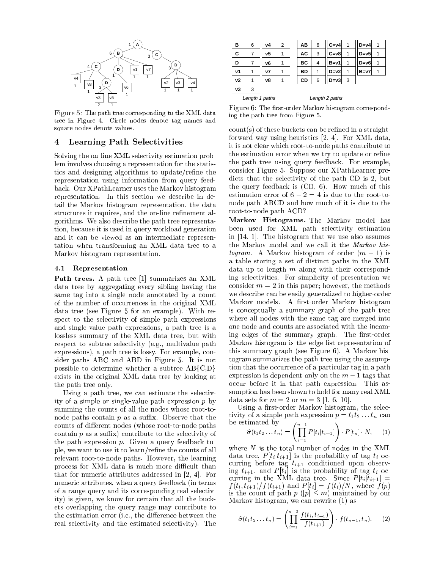

Figure 5: The path tree corresponding to the XML data tree in Figure 4.Circle nodes denote tag names and square nodes denote values.

# 4 Learning Path Selectivities

Solving the on-line XML selectivity estimation problem involves choosing a representation for the statistics and designing algorithms to update/refine the representation using information from query feedback. Our XPathLearner uses the Markov histogram representation. In this section we describe in detail the Markov histogram representation, the data structures it requires, and the on-line refinement algorithms. We also describe the path tree representation, because it is used in query workload generation and it can be viewed as an intermediate representation when transforming an XML data tree to a Markov histogram representation.

#### 4.1 Representation

Path trees. A path tree [1] summarizes an XML data tree by aggregating every sibling having the same tag into a single node annotated by a count of the number of occurrences in the original XML data tree (see Figure 5 for an example). With respect to the selectivity of simple path expressions and single-value path expressions, a path tree is a lossless summary of the XML data tree, but with respect to subtree selectivity (e.g., multivalue path expressions), a path tree is lossy. For example, consider paths ABC and ABD in Figure 5.It is not possible to determine whether a subtree  $AB{C,D}$ exists in the original XML data tree by looking at the path tree only.

Using a path tree, we can estimate the selectivity of a simple or single-value path expression  $p$  by summing the counts of all the nodes whose root-tonode paths contain  $p$  as a suffix. Observe that the counts of different nodes (whose root-to-node paths contain  $p$  as a suffix) contribute to the selectivity of the path expression  $p$ . Given a query feedback tuple, we want to use it to learn/refine the counts of all relevant root-to-node paths. However, the learning process for XML data is much more difficult than that for numeric attributes addressed in [2, 4]. For numeric attributes, when a query feedback (in terms of a range query and its corresponding real selectivity) is given, we know for certain that all the buckets overlapping the query range may contribute to the estimation error (i.e., the difference between the real selectivity and the estimated selectivity). The

| в              | 6 | ٧4             | $\overline{2}$ | AВ | 6              | $C = v4$       | 1 | $D = v4$ | 1 |
|----------------|---|----------------|----------------|----|----------------|----------------|---|----------|---|
| C              | 7 | ν5             | 1              | AC | 3              | $C = v8$       | 1 | $D = v5$ | 1 |
| D              | 7 | v6             | 1              | ВC | $\overline{4}$ | $B=v1$         | 1 | $D = v6$ | 1 |
| V <sub>1</sub> |   | v7             | 1              | BD | 1              | $D = v2$       | 1 | $B=v7$   |   |
| v2             | 1 | v8             |                | CD | 6              | $D = v3$       | 3 |          |   |
| v3             | 3 |                |                |    |                |                |   |          |   |
|                |   | Length 1 paths |                |    |                | Length 2 paths |   |          |   |

Figure 6: The first-order Markov histogram corresponding the path tree from Figure 5.

 $count(s)$  of these buckets can be refined in a straightforward way using heuristics [2, 4]. For XML data, it is not clear which root-to-node paths contribute to the estimation error when we try to update or refine the path tree using query feedback. For example, consider Figure 5. Suppose our XPathLearner predicts that the selectivity of the path CD is 2, but the query feedback is (CD, 6). How much of this estimation error of  $6 - 2 = 4$  is due to the root-tonode path ABCD and how much of it is due to the root-to-node path ACD?

Markov Histograms. The Markov model has been used for XML path selectivity estimation in [14, 1]. The histogram that we use also assumes the Markov model and we call it the Markov his*togram*. A Markov histogram of order  $(m - 1)$  is a table storing a set of distinct paths in the XML data up to length  $m$  along with their corresponding selectivities. For simplicity of presentation we consider  $m = 2$  in this paper; however, the methods we describe can be easily generalized to higher-order Markov models. A first-order Markov histogram is conceptually a summary graph of the path tree where all nodes with the same tag are merged into one node and counts are associated with the incoming edges of the summary graph. The first-order Markov histogram is the edge list representation of this summary graph (see Figure 6). A Markov histogram summarizes the path tree using the assumption that the occurrence of a particular tag in a path expression is dependent only on the  $m-1$  tags that occur before it in that path expression. This assumption has been shown to hold for many real XML data sets for  $m = 2$  or  $m = 3$  [1, 6, 10].

Using a first-order Markov histogram, the selectivity of a simple path expression  $p = t_1 t_2 \ldots t_n$  can be estimated by  $\ell_{n-1}$ 

$$
\widehat{\sigma}(t_1t_2 \ldots t_n) = \left(\prod_{i=1}^{n-1} P[t_i|t_{i+1}]\right) \cdot P[t_n] \cdot N, \quad (1)
$$

where  $N$  is the total number of nodes in the XML data tree,  $P[t_i | t_{i+1}]$  is the probability of tag  $t_i$  occurring before the tag time tag time the tag time of the tag time of the tag time observation of the tag time o ing title the probability of the probability of the probability of the probability of the probability of the p curring in the XML data tree. Since  $P[t_i | t_{i+1}] =$  $f(t_i, t_{i+1})/f(t_{i+1})$  and  $P [t_i] = f(t_i)/N$ , where  $f (p)$ is the count of path  $p(|p| \leq m)$  maintained by our Markov histogram, we can rewrite (1) as

$$
\widehat{\sigma}(t_1 t_2 \ldots t_n) = \left(\prod_{i=1}^{n-2} \frac{f(t_i, t_{i+1})}{f(t_{i+1})}\right) \cdot f(t_{n-1}, t_n). \tag{2}
$$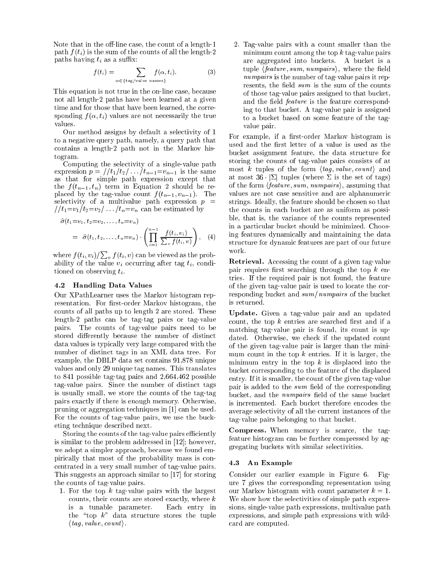Note that in the off-line case, the count of a length-1 path  $f(t_i)$  is the sum of the counts of all the length-2 paths having  $t_i$  as a suffix:

$$
f(t_i) = \sum_{\alpha \in \{\text{tag/value names}\}} f(\alpha, t_i). \tag{3}
$$

This equation is not true in the on-line case, because not all length-2 paths have been learned at a given time and for those that have been learned, the corresponding  $f(\alpha, t_i)$  values are not necessarily the true values.

Our method assigns by default a selectivity of 1 to a negative query path, namely, a query path that contains a length-2 path not in the Markov histogram.

Computing the selectivity of a single-value path expression  $p = \frac{1}{t_1-t_2} \ldots \cdot t_{n-1} = v_{n-1}$  is the same as that for simple path expression except that the  $f(t_{n-1}, t_n)$  term in Equation 2 should be replaced by the tag-value count  $f(t_{n-1}, v_{n-1})$ . The selectivity of a multivalue path expression  $p =$  $1/t_1=v_1/t_2=v_2/\dots/t_n=v_n$  can be estimated by

$$
\hat{\sigma}(t_1 = v_1, t_2 = v_2, \dots, t_n = v_n) \quad \text{in}
$$
\n
$$
= \hat{\sigma}(t_1, t_2, \dots, t_n = v_n) \cdot \left( \prod_{i=1}^{n-1} \frac{f(t_i, v_i)}{\sum_v f(t_i, v)} \right), \quad (4) \quad \text{in}
$$
\n
$$
\text{in}
$$

where  $f(t_i, v_i) / \sum_v f(t_i, v)$  can be viewed as the probability of the value  $v_i$  occurring after tag  $t_i$ , conditioned on observing  $t_i$ .

# 4.2 Handling Data Values

Our XPathLearner uses the Markov histogram representation. For first-order Markov histogram, the counts of all paths up to length 2 are stored. These length-2 paths can be tag-tag pairs or tag-value pairs. The counts of tag-value pairs need to be stored differently because the number of distinct data values is typically very large compared with the number of distinct tags in an XML data tree. For example, the DBLP data set contains 91,878 unique values and only 29 unique tag names. This translates to 841 possible tag-tag pairs and 2,664,462 possible tag-value pairs. Since the number of distinct tags is usually small, we store the counts of the tag-tag pairs exactly if there is enough memory. Otherwise, pruning or aggregation techniques in [1] can be used. For the counts of tag-value pairs, we use the bucketing technique described next.

Storing the counts of the tag-value pairs efficiently is similar to the problem addressed in [12]; however, we adopt a simpler approach, because we found empirically that most of the probability mass is concentrated in a very small number of tag-value pairs. This suggests an approach similar to [17] for storing the counts of tag-value pairs.

1. For the top  $k$  tag-value pairs with the largest counts, their counts are stored exactly, where k is a tunable parameter. Each entry in the "top  $k$ " data structure stores the tuple  $\langle tag, value, count \rangle$ .

2. Tag-value pairs with a count smaller than the minimum count among the top  $k$  tag-value pairs are aggregated into buckets. A bucket is a tuple  $\langle feature, sum, numpairs \rangle$ , where the field numpairs is the number of tag-value pairs it represents, the field  $sum$  is the sum of the counts of those tag-value pairs assigned to that bucket, and the field *feature* is the feature corresponding to that bucket. A tag-value pair is assigned to a bucket based on some feature of the tag value pair.

For example, if a first-order Markov histogram is used and the first letter of a value is used as the bucket assignment feature, the data structure for storing the counts of tag-value pairs consists of at most k tuples of the form  $\langle tag, value, count \rangle$  and at most  $36 \cdot |\Sigma|$  tuples (where  $\Sigma$  is the set of tags) of the form  $\langle feature, sum, numpairs \rangle$ , assuming that values are not case sensitive and are alphanumeric strings. Ideally, the feature should be chosen so that the counts in each bucket are as uniform as possible, that is, the variance of the counts represented in a particular bucket should be minimized. Choosing features dynamically and maintaining the data  $\sim$   $\sim$  structure for dynamic features are part of our future work.

> Retrieval. Accessing the count of a given tag-value pair requires first searching through the top  $k$  entries. If the required pair is not found, the feature of the given tag-value pair is used to locate the corresponding bucket and  $sum/numpairs$  of the bucket is returned.

> Update. Given a tag-value pair and an updated count, the top  $k$  entries are searched first and if a matching tag-value pair is found, its count is updated. Otherwise, we check if the updated count of the given tag-value pair is larger than the mini mum count in the top  $k$  entries. If it is larger, the minimum entry in the top  $k$  is displaced into the bucket corresponding to the feature of the displaced entry. If it is smaller, the count of the given tag-value pair is added to the  $sum$  field of the corresponding bucket, and the *numpairs* field of the same bucket is incremented. Each bucket therefore encodes the average selectivity of all the current instances of the tag-value pairs belonging to that bucket.

> Compress. When memory is scarce, the tagfeature histogram can be further compressed by aggregating buckets with similar selectivities.

# 4.3 An Example

Consider our earlier example in Figure 6. Figure 7 gives the corresponding representation using our Markov histogram with count parameter  $k = 1$ . We show how the selectivities of simple path expressions, single-value path expressions, multivalue path expressions, and simple path expressions with wildcard are computed.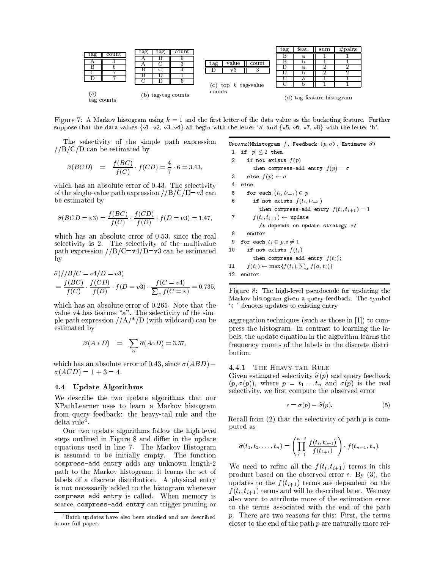

Figure 7: A Markov histogram using  $k = 1$  and the first letter of the data value as the bucketing feature. Further suppose that the data values  $\{v1, v2, v3, v4\}$  all begin with the letter 'a' and  $\{v5, v6, v7, v8\}$  with the letter 'b'.

The selectivity of the simple path expression  $//B/C/D$  can be estimated by

$$
\widehat{\sigma}(BCD) = \frac{f(BC)}{f(C)} \cdot f(CD) = \frac{4}{7} \cdot 6 = 3.43,
$$

which has an absolute error of 0.43. The selectivity of the single-value path expression  $//B/C/D=v3$  can be estimated by

$$
\hat{\sigma}(BCD = v3) = \frac{f(BC)}{f(C)} \cdot \frac{f(CD)}{f(D)} \cdot f(D = v3) = 1.47,
$$

which has an absolute error of 0.53, since the real selectivity is 2. The selectivity of the multivalue path expression  $//B/C=v4/D=v3$  can be estimated by

$$
\begin{aligned} \n\widehat{\sigma}(\frac{f}{B/C} = v4/D = v3) \\ \n&= \frac{f(BC)}{f(C)} \cdot \frac{f(CD)}{f(D)} \cdot f(D = v3) \cdot \frac{f(C = v4)}{\sum_{v} f(C = v)} = 0.735, \n\end{aligned}
$$

which has an absolute error of 0.265. Note that the value v4 has feature "a". The selectivity of the simple path expression  $//A/*/D$  (with wildcard) can be estimated by

$$
\widehat{\sigma}(A*D) = \sum_{\alpha} \widehat{\sigma}(A\alpha D) = 3.57,
$$

which has an absolute error of 0.43, since  $\sigma(ABD)$  +  $\sigma(ACD) = 1 + 3 = 4.$ 

### 4.4 Update Algorithms

We describe the two update algorithms that our XPathLearner uses to learn a Markov histogram from query feedback: the heavy-tail rule and the  $delta$  rule<sup>4</sup>.

Our two update algorithms follow the high-level steps outlined in Figure 8 and differ in the update equations used in line 7. The Markov Histogram is assumed to be initially empty. The function compress-add entry adds any unknown length-2 path to the Markov histogram: it learns the set of labels of a discrete distribution. A physical entry is not necessarily added to the histogram whenever compress-add entry is called. When memory is scarce, compress-add entry can trigger pruning or

UPDATE(Mhistogram f, Feedback  $(p, \sigma)$ , Estimate  $\hat{\sigma}$ ) 1 if  $|p| \leq 2$  then if not exists  $f(p)$  $\overline{2}$  $\overline{\phantom{a}}$  $\sum_{i=1}^{n}$  compress-add entry f (p)  $\sum_{i=1}^{n}$  $\overline{3}$ else  $f(p) \leftarrow \sigma$ 4 else 5 $f \circ f$  is each (ti, ti+1)  $\subset P$ 6 if not exists  $f(t_i, t_{i+1})$  $t_{\text{max}}$  compress-add entry  $f(t)$ ;  $\frac{1}{1+t}$ 7 $f(t_i, t_{i+1}) \leftarrow$  update /\* depends on update strategy \*/ 8 endfor 9 $\mathbf{f}$  except time  $\mathbf{f}$  is  $\mathbf{f}$  if  $\mathbf{f}$ 10if not exists  $f(t_i)$ then compress-add entry <sup>f</sup> (ti ); 11 $f(t_i) \leftarrow \max\{f(t_i), \sum_{\alpha} f(\alpha, t_i)\}\$ 12endfor

Figure 8: The high-level pseudocode for updating the Markov histogram given a query feedback. The symbol  $\leftrightarrow$  denotes updates to existing entry

aggregation techniques (such as those in [1]) to compress the histogram. In contrast to learning the labels, the update equation in the algorithm learns the frequency counts of the labels in the discrete distribution.

#### 4.4.1 The Heavy-tail Rule

Given estimated selectivity  $\hat{\sigma}(p)$  and query feedback  $(p, \sigma(p))$ , where  $p = t_1 \ldots t_n$  and  $\sigma(p)$  is the real selectivity, we first compute the observed error

$$
\epsilon = \sigma(p) - \hat{\sigma}(p). \tag{5}
$$

Recall from  $(2)$  that the selectivity of path p is computed as

$$
\widehat{\sigma}(t_1, t_2, \ldots, t_n) = \left( \prod_{i=1}^{n-2} \frac{f(t_i, t_{i+1})}{f(t_{i+1})} \right) \cdot f(t_{n-1}, t_n).
$$

We need to refine all the  $f(t_i, t_{i+1})$  terms in this product based on the observed error  $\epsilon$ . By (3), the updates to the  $f(t_{i+1})$  terms are dependent on the  $f(t_i, t_{i+1})$  terms and will be described later. We may also want to attribute more of the estimation error to the terms associated with the end of the path p. There are two reasons for this: First, the terms closer to the end of the path p are naturally more rel-

<sup>4</sup>Batch updates have also been studied and are described in our full paper.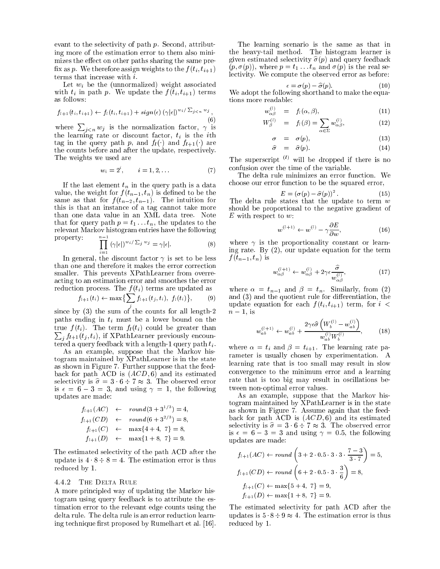evant to the selectivity of path p. Second, attributing more of the estimation error to them also minimizes the effect on other paths sharing the same prefix as p. We therefore assign weights to the  $f(t_i, t_{i+1})$ terms that increase with i.

Let  $w_i$  be the (unnormalized) weight associated with  $t_i$  in path p. We update the  $f(t_i, t_{i+1})$  terms We ad as follows:

$$
f_{l+1}(t_i, t_{i+1}) \leftarrow f_l(t_i, t_{i+1}) + sign(\epsilon) \left(\gamma|\epsilon|\right)^{w_i/\sum_{j < n} w_j},\tag{6}
$$

where  $\sum_{j\leq n} w_j$  is the normalization factor,  $\gamma$  is the learning rate or discount factor,  $t_i$  is the *i*th tag in the query path p, and  $f_l(\cdot)$  and  $f_{l+1}(\cdot)$  are the counts before and after the update, respectively. The weights we used are

$$
w_i = 2^i, \qquad i = 1, 2, \dots \tag{7}
$$

If the last element  $t_n$  in the query path is a data value, the weight for  $f(t_{n-1}, t_n)$  is defined to be the same as that for  $f(t_{n-2}, t_{n-1})$ . The intuition for this is that an instance of a tag cannot take more than one data value in an XML data tree. Note that for query path  $p = t_1 \ldots t_n$ , the updates to the relevant Markov histogram entries have the following property:  $n-1$ 

$$
\prod_{i=1}^{m} \left(\gamma|\epsilon|\right)^{w_i/\sum_j w_j} = \gamma|\epsilon|. \tag{8}
$$

**In general, the discount factor (i.e.** the discount of  $\mathbf{y}$ than one and therefore it makes the error correction smaller. This prevents XPathLearner from overreacting to an estimation error and smoothes the error reduction process. The  $f(t_i)$  terms are updated as

$$
f_{l+1}(t_i) \leftarrow \max\left\{\sum_{i} f_{l+1}(t_j, t_i), f_l(t_i)\right\},
$$
 (9) an

je na svoje programa u predstavanje koji se obrazu se obrazu se obrazu se obrazu se obrazu se obrazu se obrazu since by (3) the sum of the counts for all length-2  $\sim$  . paths ending in  $t_i$  must be a lower bound on the the term flutter flutter than  $t$  flutter than  $t$  flutter than  $t$  flutter than  $t$  flutter than  $t$  flutter than  $t$  flutter than  $t$  flutter than  $t$  flutter than  $t$  flutter than  $t$  flutter than  $t$  flutter than  $t$   $\sum_i f_{l+1}(t_j,t_i)$ , if XPathLearner previously encountered a query feedback with a length-1 query path  $t_i$ .

As an example, suppose that the Markov histogram maintained by XPathLearner is in the state as shown in Figure 7. Further suppose that the feedback for path ACD is  $(ACD, 6)$  and its estimated selectivity is  $\hat{\sigma} = 3$  6 ÷ 7  $\approx$  3. The observed error is  $\epsilon = 6 - 3 = 3$ , and using  $\gamma = 1$ , the following updates are made:

$$
f_{l+1}(AC) \leftarrow \text{round}(3+3^{1/3}) = 4,
$$
  
\n
$$
f_{l+1}(CD) \leftarrow \text{round}(6+3^{2/3}) = 8,
$$
  
\n
$$
f_{l+1}(C) \leftarrow \max\{4+4, 7\} = 8,
$$
  
\n
$$
f_{l+1}(D) \leftarrow \max\{1+8, 7\} = 9.
$$

The estimated selectivity of the path ACD after the update is  $4 \cdot 8 \div 8 = 4$ . The estimation error is thus reduced by 1.

#### 4.4.2 The Delta Rule

A more principled way of updating the Markov histogram using query feedback is to attribute the estimation error to the relevant edge counts using the delta rule. The delta rule is an error reduction learning technique first proposed by Rumelhart et al.  $[16]$ .

The learning scenario is the same as that in the heavy-tail method. The histogram learner is given estimated selectivity  $\hat{\sigma}(p)$  and query feedback  $(p, \sigma(p))$ , where  $p = t_1 \dots t_n$  and  $\sigma(p)$  is the real selectivity. We compute the observed error as before:

$$
\epsilon = \sigma(p) - \hat{\sigma}(p). \tag{10}
$$
\nWe adopt the following shorthand to make the equations more readable:

$$
w_{\alpha\beta}^{(l)} = f_l(\alpha, \beta), \qquad (11)
$$

$$
W_{\beta}^{(l)} = f_l(\beta) = \sum_{\alpha \in \Sigma} w_{\alpha \beta}^{(l)}, \qquad (12)
$$

$$
\sigma = \sigma(p), \qquad (13)
$$

$$
\widehat{\sigma} = \widehat{\sigma}(p). \tag{14}
$$

The superscript  $(1)$  will be dropped if there is no confusion over the time of the variable.

The delta rule minimizes an error function. We choose our error function to be the squared error,

$$
E = \left(\sigma(p) - \hat{\sigma}(p)\right)^2. \tag{15}
$$

The delta rule states that the update to term  $w$ should be proportional to the negative gradient of  $E$  with respect to  $w$ :

$$
w^{(l+1)} \leftarrow w^{(l)} - \gamma \frac{\partial E}{\partial w},\tag{16}
$$

where  $\gamma$  is the proportionality constant or learning rate. By (2), our update equation for the term  $f(t_{n-1}, t_n)$  is

$$
w_{\alpha\beta}^{(l+1)} \leftarrow w_{\alpha\beta}^{(l)} + 2\gamma\epsilon \frac{\hat{\sigma}}{w_{\alpha\beta}^{(l)}},\tag{17}
$$

where  $\alpha = t_{n-1}$  and  $\beta = t_n$ . Similarly, from (2) and  $(3)$  and the quotient rule for differentiation, the update equation for each  $f(t_i, t_{i+1})$  term, for  $i <$  $n-1$ , is

$$
w_{ab}^{(l+1)} \leftarrow w_{ab}^{(l)} + \frac{2\gamma\epsilon\widehat{\sigma}\left(W_b^{(l)} - w_{ab}^{(l)}\right)}{w_{ab}^{(l)}W_b^{(l)}},\tag{18}
$$

where  $\alpha = t_i$  and  $\beta = t_{i+1}$ . The learning rate parameter is usually chosen by experimentation. A learning rate that is too small may result in slow convergence to the minimum error and a learning rate that is too big may result in oscillations between non-optimal error values.

As an example, suppose that the Markov histogram maintained by XPathLearner is in the state as shown in Figure 7. Assume again that the feedback for path ACD is  $(ACD, 6)$  and its estimated selectivity is  $\hat{\sigma} = 3 \cdot 6 \div 7 \approx 3$ . The observed error is  $\epsilon = 6 - 3 = 3$  and using  $\gamma = 0.5$ , the following updates are made:

$$
f_{l+1}(AC) \leftarrow round\left(3+2\cdot 0.5\cdot 3\cdot 3\cdot \frac{7-3}{3\cdot 7}\right) = 5,
$$
  

$$
f_{l+1}(CD) \leftarrow round\left(6+2\cdot 0.5\cdot 3\cdot \frac{3}{6}\right) = 8,
$$
  

$$
f_{l+1}(C) \leftarrow max\{5+4, 7\} = 9,
$$
  

$$
f_{l+1}(D) \leftarrow max\{1+8, 7\} = 9.
$$

The estimated selectivity for path ACD after the updates is  $5 \cdot 8 \div 9 \approx 4$ . The estimation error is thus reduced by 1.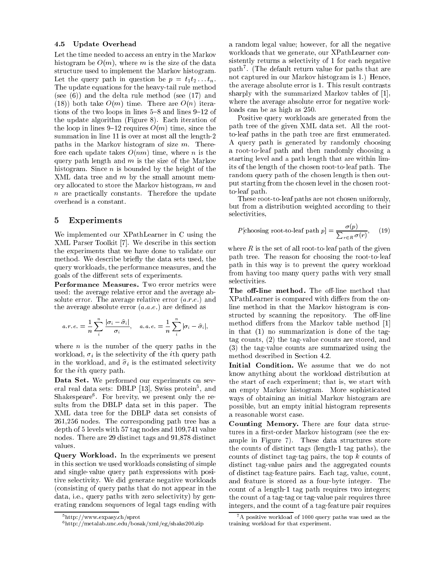### 4.5 Update Overhead

Let the time needed to access an entry in the Markov histogram be  $O(m)$ , where m is the size of the data structure used to implement the Markov histogram. Let the query path in question be  $p = t_1 t_2 \ldots t_n$ . The update equations for the heavy-tail rule method (see (6)) and the delta rule method (see (17) and (18)) both take  $O(m)$  time. There are  $O(n)$  iterations of the two loops in lines  $5-8$  and lines  $9-12$  of the update algorithm (Figure 8). Each iteration of the loop in lines 9–12 requires  $O(m)$  time, since the summation in line 11 is over at most all the length-2 paths in the Markov histogram of size m. Therefore each update takes  $O(nm)$  time, where *n* is the query path length and  $m$  is the size of the Markov histogram. Since  $n$  is bounded by the height of the XML data tree and  $m$  by the small amount memory allocated to store the Markov histogram, m and put starting<br>n are prostically constants. Therefore the undate to-leaf path. n are practically constants. Therefore the update overhead is a constant.

#### 5 **Experiments**

We implemented our XPathLearner in C using the XML Parser Toolkit [7]. We describe in this section the experiments that we have done to validate our method. We describe briefly the data sets used, the query workloads, the performance measures, and the goals of the different sets of experiments.

Performance Measures. Two error metrics were used: the average relative error and the average absolute error. The average relative error  $(a.r.e.)$  and the average absolute error  $(a.a.e.)$  are defined as

$$
a.r.e. = \frac{1}{n} \sum_{i}^{n} \frac{|\sigma_i - \hat{\sigma}_i|}{\sigma_i}, \quad a.a.e. = \frac{1}{n} \sum_{i}^{n} |\sigma_i - \hat{\sigma}_i|,
$$

where  $n$  is the number of the query paths in the workload,  $\sigma_i$  is the selectivity of the *i*th query path in the workload, and  $\hat{\sigma}_i$  is the estimated selectivity for the ith query path.

Data Set. We performed our experiments on several real data sets: DBLP [13], Swiss protein<sup>5</sup>, and Shakespeare for brevity, we present only the results from the DBLP data set in this paper. The XML data tree for the DBLP data set consists of 261,256 nodes. The corresponding path tree has a depth of 5 levels with 57 tag nodes and 109,741 value nodes. There are 29 distinct tags and 91,878 distinct values.

Query Workload. In the experiments we present in this section we used workloads consisting of simple and single-value query path expressions with positive selectivity. We did generate negative workloads (consisting of query paths that do not appear in the data, i.e., query paths with zero selectivity) by generating random sequences of legal tags ending with

a random legal value; however, for all the negative workloads that we generate, our XPathLearner consistently returns a selectivity of 1 for each negative path . (The default return value for paths that are not captured in our Markov histogram is 1.) Hence, the average absolute error is 1. This result contrasts sharply with the summarized Markov tables of [1], where the average absolute error for negative workloads can be as high as 250.

Positive query workloads are generated from the path tree of the given XML data set. All the rootto-leaf paths in the path tree are first enumerated. A query path isgenerated by randomly choosing a root-to-leaf path and then randomly choosing a starting level and a path length that are within limits of the length of the chosen root-to-leaf path. The random query path of the chosen length is then output starting from the chosen level in the chosen rootto-leaf path.

These root-to-leaf paths are not chosen uniformly, but from a distribution weighted according to their selectivities,

$$
P[\text{choosing root-to-leaf path } p] = \frac{\sigma(p)}{\sum_{r \in R} \sigma(r)}, \quad (19)
$$

where  $R$  is the set of all root-to-leaf path of the given path tree. The reason for choosing the root-to-leaf path in this way is to prevent the query workload from having too many query paths with very small selectivities.

 $\cdots$  in that (1) no summarization is done of the tag-The off-line method. The off-line method that XPathLearner is compared with differs from the online method in that the Markov histogram is constructed by scanning the repository. The off-line method differs from the Markov table method [1] tag counts, (2) the tag-value counts are stored, and (3) the tag-value counts are summarized using the method described in Section 4.2.

,  $\cdots$  an empty markov mstogram. More sophisticated Initial Condition. We assume that we do not know anything about the workload distribution at the start of each experiment; that is, we start with ways of obtaining an initial Markov histogram are possible, but an empty initial histogram represents a reasonable worst case.

> Counting Memory. There are four data structures in a first-order Markov histogram (see the example in Figure 7). These data structures store the counts of distinct tags (length-1 tag paths), the counts of distinct tag-tag pairs, the top  $k$  counts of distinct tag-value pairs and the aggregated counts of distinct tag-feature pairs. Each tag, value, count, and feature is stored as a four-byte integer. The count of a length-1 tag path requires two integers; the count of a tag-tag or tag-value pair requires three integers, and the count of a tag-feature pair requires

<sup>5</sup>http://www.expasy.ch/sprot

 $6$ http://metalab.unc.edu/bosak/xml/eg/shaks200.zip

<sup>7</sup>A positive workload of 1000 query paths was used as the training workload for that experiment.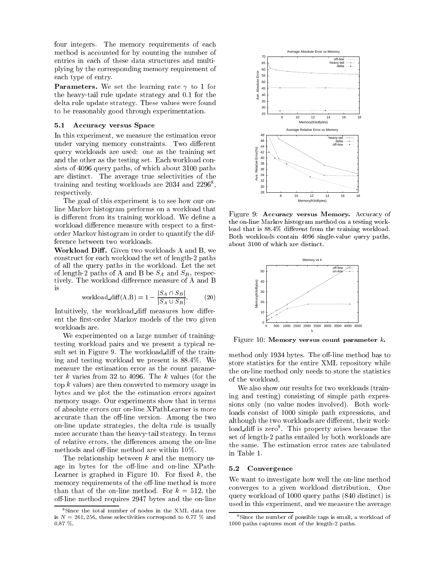four integers. The memory requirements of each method is accounted for by counting the number of entries in each of these data structures and multiplying by the corresponding memory requirement of each type of entry.

**Parameters.** We set the learning rate  $\gamma$  to 1 for the heavy-tail rule update strategy and 0.1 for the delta rule update strategy. These values were found to be reasonably good through experimentation.

## 5.1 Accuracy versus Space

In this experiment, we measure the estimation error under varying memory constraints. Two different query workloads are used: one as the training set and the other as the testing set. Each workload consists of 4096 query paths, of which about 3100 paths are distinct. The average true selectivities of the training and testing workloads are  $2034$  and  $2296^8$ , , respectively.

The goal of this experiment is to see how our online Markov histogram performs on a workload that is different from its training workload. We define a workload difference measure with respect to a firstorder Markov histogram in order to quantify the difference between two workloads.

**Workload Diff.** Given two workloads A and B, we Workload Di. Given two workloads A and B, we worker two works A and B, we worker two works A and B, we worker two works A and B, we work construct for each workload the set of length-2 paths of all the query paths in the workload. Let the set of length-2 paths of A and B be  $S_A$  and  $S_B$ , respectively. The workload difference measure of A and B is

$$
\text{workload\_diff(A,B)} = 1 - \frac{|S_A \cap S_B|}{|S_A \cup S_B|}.
$$
 (20)

Intuitively, the workload diff measures how different the first-order Markov models of the two given workloads are.

We experimented on a large number of trainingtesting workload pairs and we present a typical result set in Figure 9. The workload diff of the training and testing workload we present is 88.4%. We measure the estimation error as the count parameter k varies from 32 to 4096. The k values (for the top k values) are then converted to memory usage in bytes and we plot the the estimation errors against memory usage. Our experiments show that in terms of absolute errors our on-line XPathLearner is more accurate than the off-line version. Among the two on-line update strategies, the delta rule is usually more accurate than the heavy-tail strategy. In terms of relative errors, the differences among the on-line methods and off-line method are within  $10\%$ .

The relationship between  $k$  and the memory usage in bytes for the off-line and on-line XPath-Learner is graphed in Figure 10. For fixed  $k$ , the memory requirements of the off-line method is more than that of the on-line method. For  $k = 512$ , the off-line method requires 2947 bytes and the on-line



Figure 9: Accuracy versus Memory. Accuracy of the on-line Markov histogram method on a testing workload that is 88.4% different from the training workload. Both workloads contain 4096 single-value query paths, about 3100 of which are distinct.



Figure 10: Memory versus count parameter k.

method only 1934 bytes. The off-line method has to store statistics for the entire XML repository while the on-line method only needs to store the statistics of the workload.

We also show our results for two workloads (training and testing) consisting of simple path expressions only (no value nodes involved). Both workloads consist of 1000 simple path expressions, and although the two workloads are different, their workroad diff is zero . This property arises because the set of length-2 paths entailed by both workloads are the same. The estimation error rates are tabulated in Table 1.

### 5.2 Convergence

We want to investigate how well the on-line method converges to a given workload distribution. One query workload of 1000 query paths (840 distinct) is used in this experiment, and we measure the average

<sup>8</sup>Since the total number of nodes in the XML data tree is  $N = 261, 256$ , these selectivities correspond to 0.77 % and 0.87 %.

<sup>9</sup>Since the number of possible tags is small, a workload of 1000 paths captures most of the length-2 paths.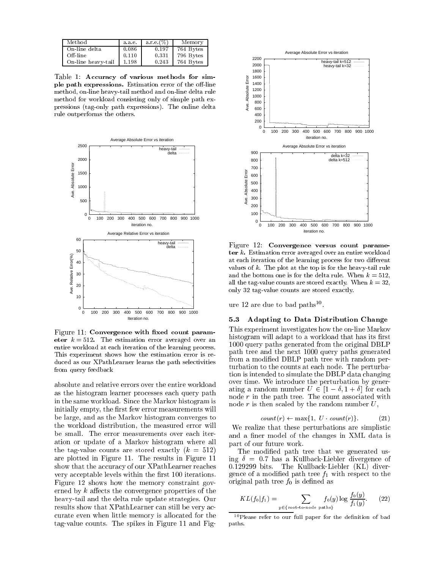| Method             | a.a.e. | are (%) | Memory    |
|--------------------|--------|---------|-----------|
| On-line delta      | 0.086  | 0.197   | 764 Bytes |
| Off-line           | 0.110  | 0.331   | 796 Bytes |
| On-line heavy-tail | 1.198  | 0.243   | 764 Bytes |

Table 1: Accuracy of various methods for simple path expressions. Estimation error of the off-line method, on-line heavy-tail method and on-line delta rule method for workload consisting only of simple path expressions (tag-only path expressions). The online delta rule outperforms the others.



Figure 11: Convergence with fixed count parameter  $k = 512$ . The estimation error averaged over an entire workload at each iteration of the learning process. This experiment shows how the estimation error is re duced as our XPathLearner learns the path selectivities from query feedback

absolute and relative errors over the entire workload as the histogram learner processes each query path in the same workload. Since the Markov histogram is initially empty, the first few error measurements will be large, and as the Markov histogram converges to the workload distribution, the measured error will be small. The error measurements over each iteration or update of a Markov histogram where all the tag-value counts are stored exactly  $(k = 512)$ are plotted in Figure 11. The results in Figure 11 show that the accuracy of our XPathLearner reaches very acceptable levels within the first 100 iterations. Figure 12 shows how the memory constraint gov erned by  $k$  affects the convergence properties of the heavy-tail and the delta rule update strategies. Our results show that XPathLearner can still be very accurate even when little memory is allocated for the tag-value counts. The spikes in Figure 11 and Fig-



Figure 12: Convergence versus count parameter k. Estimation error averaged over an entire workload at each iteration of the learning process for two different values of  $k$ . The plot at the top is for the heavy-tail rule and the bottom one is for the delta rule. When  $k = 512$ , all the tag-value counts are stored exactly. When  $k = 32$ , only 32 tag-value counts are stored exactly.

ure 12 are due to bad paths10 .

5.3 Adapting to Data Distribution Change

This experiment investigates how the on-line Markov histogram will adapt to a workload that has its first 1000 query paths generated from the original DBLP path tree and the next 1000 query paths generated from a modified DBLP path tree with random perturbation to the counts at each node. The perturbation is intended to simulate the DBLP data changing over time. We introduce the perturbation by generating a random number  $U \in [1 - \delta, 1 + \delta]$  for each node  $r$  in the path tree. The count associated with node r is then scaled by the random number  $U$ ,

$$
count(r) \leftarrow \max\{1, \ U \cdot count(r)\}. \tag{21}
$$

We realize that these perturbations are simplistic and a finer model of the changes in XML data is part of our future work.

The modified path tree that we generated using  $\delta = 0.7$  has a Kullback-Liebler divergence of 0.129299 bits. The Kullback-Liebler (KL) divergence of a modified path tree  $f_1$  with respect to the original path tree  $f_0$  is defined as

$$
KL(f_0|f_1) = \sum_{y \in \{\text{root-to-node paths}\}} f_0(y) \log \frac{f_0(y)}{f_1(y)}.\tag{22}
$$

<sup>&</sup>lt;sup>10</sup>Please refer to our full paper for the definition of bad paths.